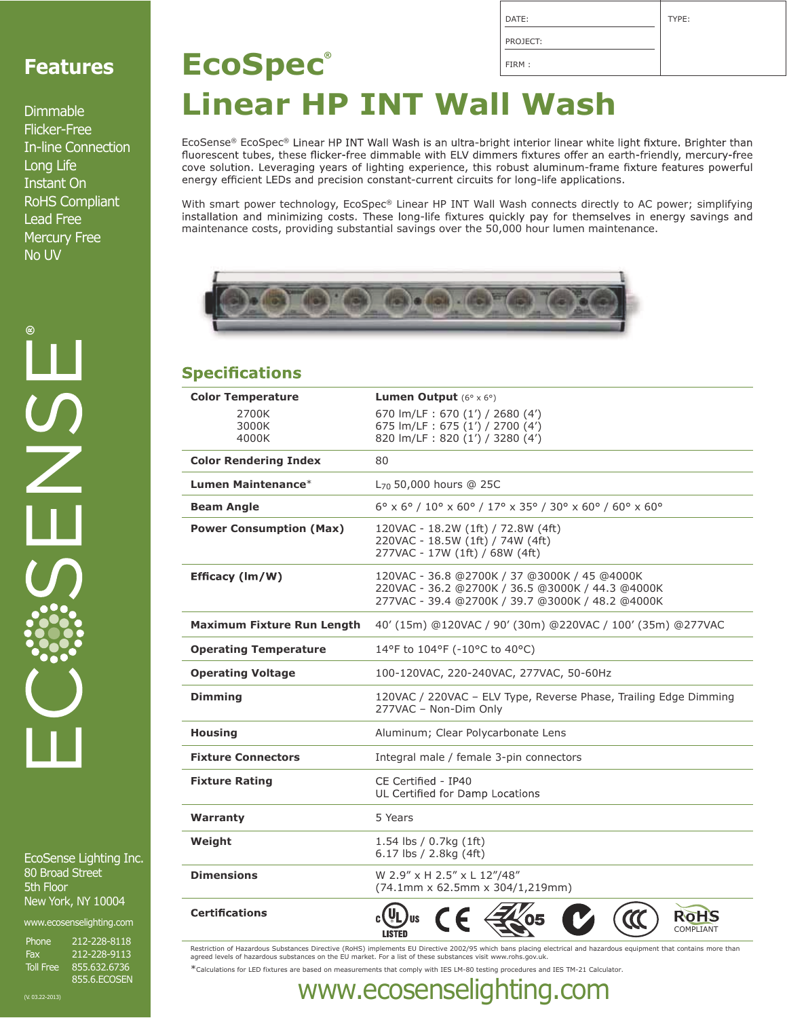| DATE:    | TYPE: |
|----------|-------|
| PROJECT: |       |
|          |       |

## **Features**

Dimmable Flicker-Free In-line Connection Long Life Instant On RoHS Compliant Lead Free Mercury Free No UV

**®** $\frac{1}{2}$ 

EcoSense Lighting Inc. 80 Broad Street 5th Floor New York, NY 10004

www.ecosenselighting.com

Phone 212-228-8118 Fax 212-228-9113 Toll Free 855.632.6736 855.6.ECOSEN

## FIRM : **EcoSpec® Linear HP INT Wall Wash**

EcoSense® EcoSpec® Linear HP INT Wall Wash is an ultra-bright interior linear white light fixture. Brighter than<br>fluorescent tubes, these flicker-free dimmable with ELV dimmers fixtures offer an earth-friendly, mercury-fre cove solution. Leveraging years of lighting experience, this robust aluminum-frame fixture features powerful energy efficient LEDs and precision constant-current circuits for long-life applications.

With smart power technology, EcoSpec® Linear HP INT Wall Wash connects directly to AC power; simplifying installation and minimizing costs. These long-life fixtures quickly pay for themselves in energy savings and maintenance costs, providing substantial savings over the 50,000 hour lumen maintenance.



### **Specifications**

| <b>Color Temperature</b>          | <b>Lumen Output</b> $(6^{\circ} \times 6^{\circ})$                                                                                                   |  |  |  |
|-----------------------------------|------------------------------------------------------------------------------------------------------------------------------------------------------|--|--|--|
| 2700K                             | 670 lm/LF: 670 (1') / 2680 (4')<br>675 lm/LF: 675 (1') / 2700 (4')                                                                                   |  |  |  |
| 3000K<br>4000K                    | 820 lm/LF: 820 (1') / 3280 (4')                                                                                                                      |  |  |  |
| <b>Color Rendering Index</b>      | 80                                                                                                                                                   |  |  |  |
| Lumen Maintenance*                | L <sub>70</sub> 50,000 hours @ 25C                                                                                                                   |  |  |  |
| <b>Beam Angle</b>                 | $6^{\circ}$ x $6^{\circ}$ / $10^{\circ}$ x $60^{\circ}$ / $17^{\circ}$ x $35^{\circ}$ / $30^{\circ}$ x $60^{\circ}$ / $60^{\circ}$ x $60^{\circ}$    |  |  |  |
| <b>Power Consumption (Max)</b>    | 120VAC - 18.2W (1ft) / 72.8W (4ft)<br>220VAC - 18.5W (1ft) / 74W (4ft)<br>277VAC - 17W (1ft) / 68W (4ft)                                             |  |  |  |
| Efficacy (lm/W)                   | 120VAC - 36.8 @2700K / 37 @3000K / 45 @4000K<br>220VAC - 36.2 @2700K / 36.5 @3000K / 44.3 @4000K<br>277VAC - 39.4 @2700K / 39.7 @3000K / 48.2 @4000K |  |  |  |
| <b>Maximum Fixture Run Length</b> | 40' (15m) @120VAC / 90' (30m) @220VAC / 100' (35m) @277VAC                                                                                           |  |  |  |
| <b>Operating Temperature</b>      | 14°F to 104°F (-10°C to 40°C)                                                                                                                        |  |  |  |
| <b>Operating Voltage</b>          | 100-120VAC, 220-240VAC, 277VAC, 50-60Hz                                                                                                              |  |  |  |
| <b>Dimming</b>                    | 120VAC / 220VAC - ELV Type, Reverse Phase, Trailing Edge Dimming<br>277VAC - Non-Dim Only                                                            |  |  |  |
| <b>Housing</b>                    | Aluminum; Clear Polycarbonate Lens                                                                                                                   |  |  |  |
| <b>Fixture Connectors</b>         | Integral male / female 3-pin connectors                                                                                                              |  |  |  |
| <b>Fixture Rating</b>             | CE Certified - IP40<br>UL Certified for Damp Locations                                                                                               |  |  |  |
| Warranty                          | 5 Years                                                                                                                                              |  |  |  |
| Weight                            | 1.54 lbs / 0.7kg (1ft)<br>6.17 lbs / 2.8kg $(4ft)$                                                                                                   |  |  |  |
| <b>Dimensions</b>                 | W 2.9" x H 2.5" x L 12"/48"<br>(74.1mm x 62.5mm x 304/1,219mm)                                                                                       |  |  |  |
| <b>Certifications</b>             | COMPLIANT                                                                                                                                            |  |  |  |

Restriction of Hazardous Substances Directive (RoHS) implements EU Directive 2002/95 which bans placing electrical and hazardous equipment that contains more than<br>agreed levels of hazardous substances on the EU market. For \*Calculations for LED fixtures are based on measurements that comply with IES LM-80 testing procedures and IES TM-21 Calculator.

(V. 03.22-2013) www.ecosenselighting.com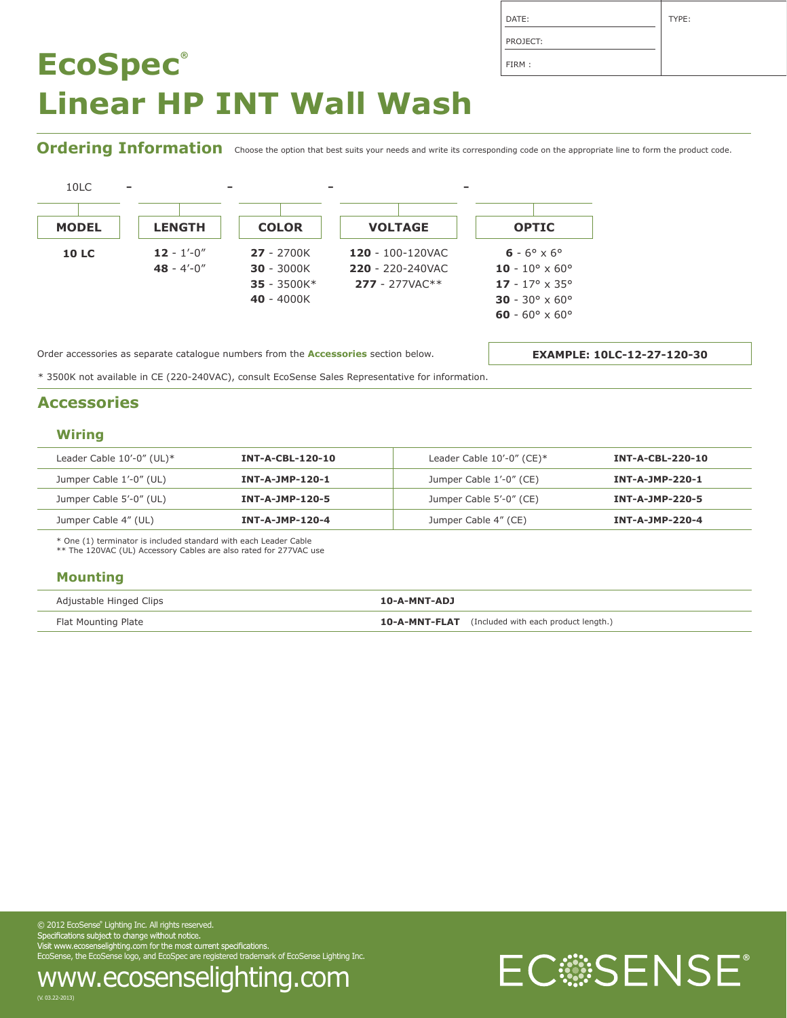| DATE:    | TYPE: |
|----------|-------|
| PROJECT: |       |
| FIRM:    |       |

Ordering Information choose the option that best suits your needs and write its corresponding code on the appropriate line to form the product code.



Order accessories as separate catalogue numbers from the **Accessories** section below.

**EXAMPLE: 10LC-12-27-120-30**

\* 3500K not available in CE (220-240VAC), consult EcoSense Sales Representative for information.

### **Accessories**

#### **Wiring**

| Leader Cable $10'-0''$ (UL) $*$ | <b>INT-A-CBL-120-10</b> | Leader Cable $10'-0''$ (CE)* | <b>INT-A-CBL-220-10</b> |
|---------------------------------|-------------------------|------------------------------|-------------------------|
| Jumper Cable 1'-0" (UL)         | INT-A-JMP-120-1         | Jumper Cable 1'-0" (CE)      | INT-A-JMP-220-1         |
| Jumper Cable 5'-0" (UL)         | INT-A-JMP-120-5         | Jumper Cable 5'-0" (CE)      | INT-A-JMP-220-5         |
| Jumper Cable 4" (UL)            | INT-A-JMP-120-4         | Jumper Cable 4" (CE)         | INT-A-JMP-220-4         |

\* One (1) terminator is included standard with each Leader Cable \*\* The 120VAC (UL) Accessory Cables are also rated for 277VAC use

#### **Mounting**

| Adjustable Hinged Clips | 10-A-MNT-ADJ                                              |
|-------------------------|-----------------------------------------------------------|
| Flat Mounting Plate     | <b>10-A-MNT-FLAT</b> (Included with each product length.) |

© 2012 EcoSense® Lighting Inc. All rights reserved. EcoSense, the EcoSense logo, and EcoSpec are registered trademark of EcoSense Lighting Inc.

www.ecosenselighting.com

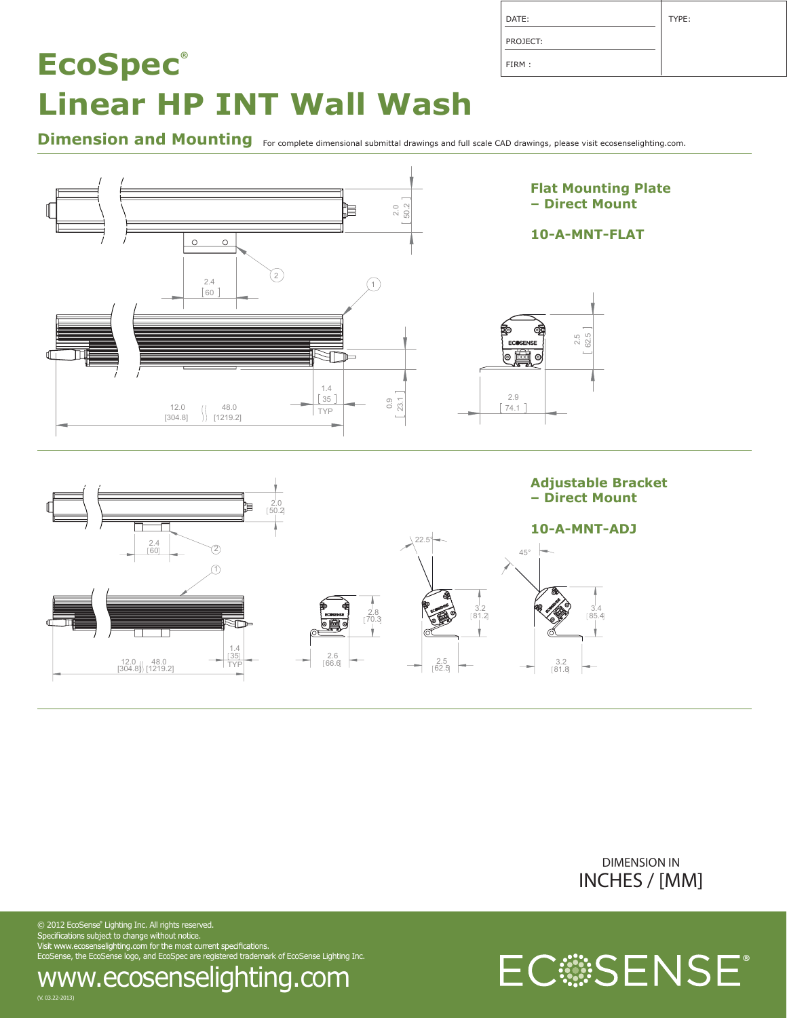| DATE:    | TYPE: |
|----------|-------|
| PROJECT: |       |
| FIRM:    |       |

Dimension and Mounting For complete dimensional submittal drawings and full scale CAD drawings, please visit ecosenselighting.com.





EC**SENSE** 

 $\odot$  2012 EcoSense $\degree$  Lighting Inc. All rights reserved. EcoSense, the EcoSense logo, and EcoSpec are registered trademark of EcoSense Lighting Inc.

## www.ecosenselighting.com

(V. 03.22-2013)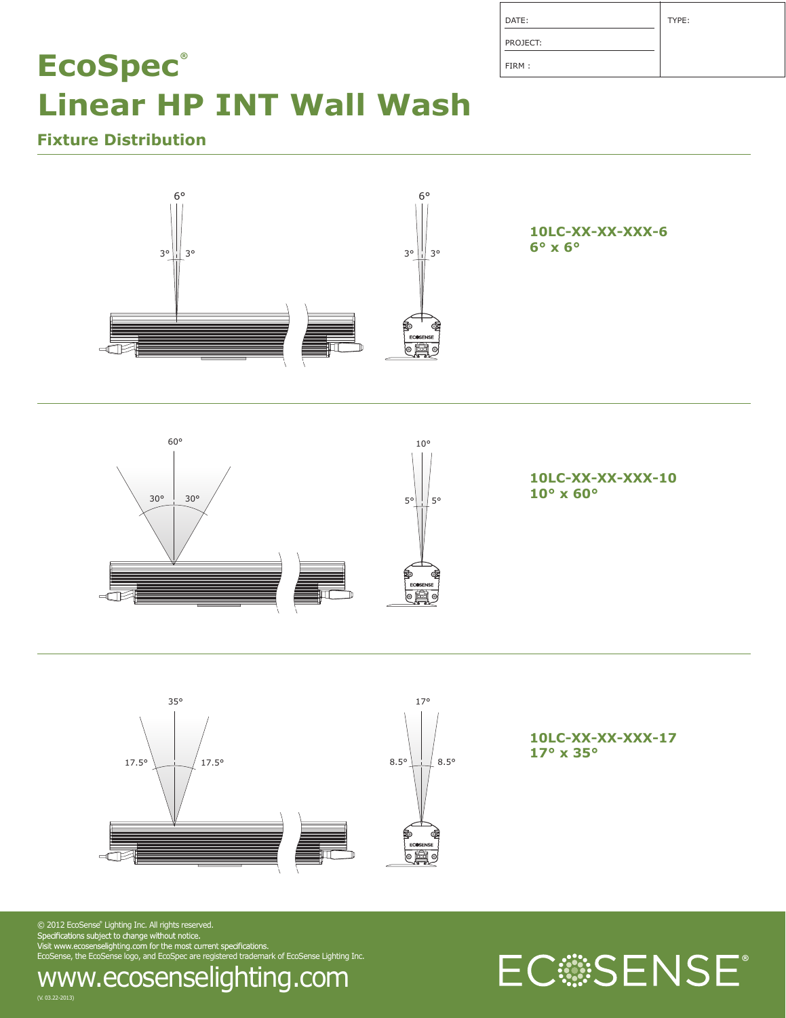| DATE:    | TYPE: |
|----------|-------|
| PROJECT: |       |
| FIRM:    |       |

## **Fixture Distribution**







**10LC-XX-XX-XXX-17 17° x 35°**

 $\odot$  2012 EcoSense $\degree$  Lighting Inc. All rights reserved. EcoSense, the EcoSense logo, and EcoSpec are registered trademark of EcoSense Lighting Inc.



## www.ecosenselighting.com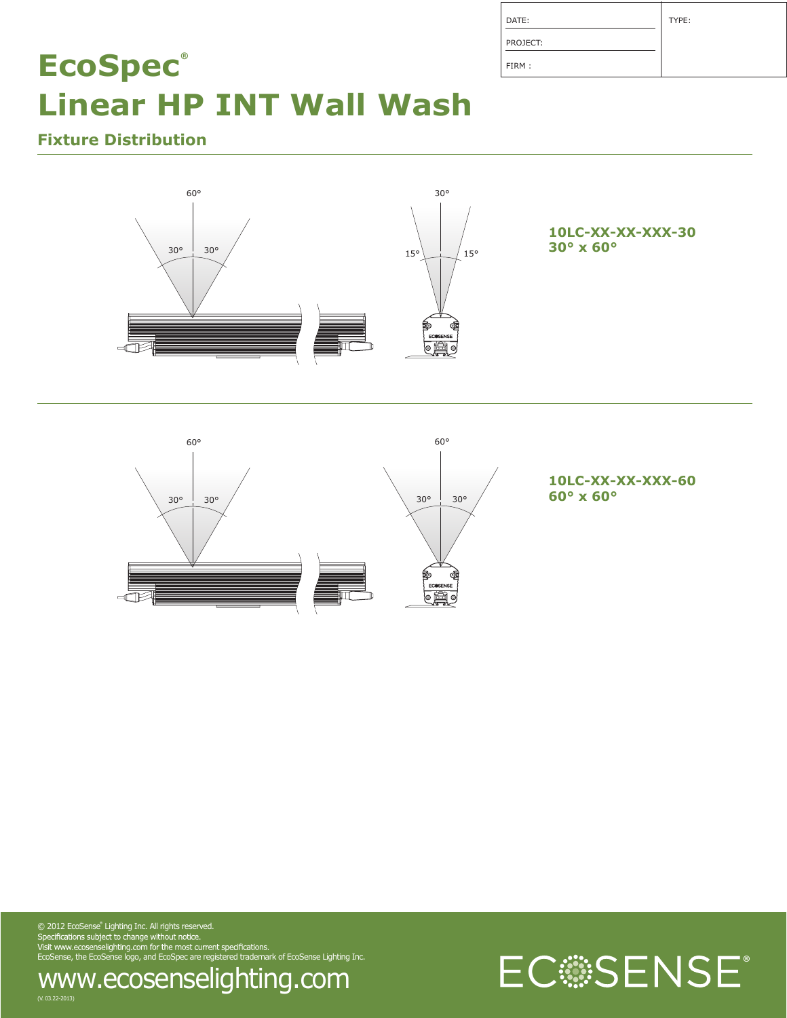| DATE:    | TYPE: |
|----------|-------|
| PROJECT: |       |
| FIRM:    |       |

**Fixture Distribution**





**10LC-XX-XX-XXX-60**

 $\odot$  2012 EcoSense" Lighting Inc. All rights reserved. EcoSense, the EcoSense logo, and EcoSpec are registered trademark of EcoSense Lighting Inc. www.ecosenselighting.com